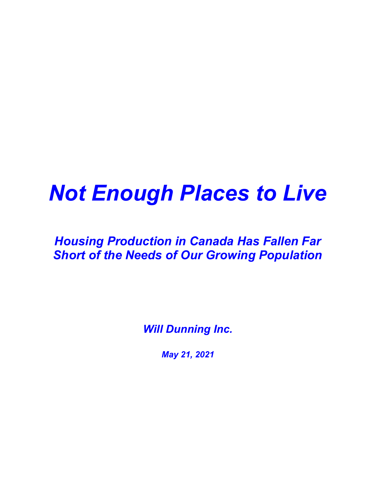# Not Enough Places to Live

## Housing Production in Canada Has Fallen Far Short of the Needs of Our Growing Population

**Will Dunning Inc.** 

May 21, 2021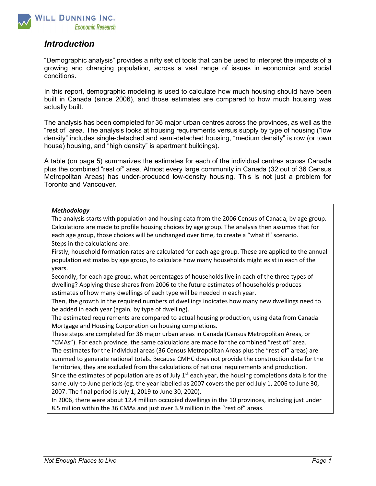

#### **Introduction**

"Demographic analysis" provides a nifty set of tools that can be used to interpret the impacts of a growing and changing population, across a vast range of issues in economics and social conditions.

In this report, demographic modeling is used to calculate how much housing should have been built in Canada (since 2006), and those estimates are compared to how much housing was actually built.

The analysis has been completed for 36 major urban centres across the provinces, as well as the "rest of" area. The analysis looks at housing requirements versus supply by type of housing ("low density" includes single-detached and semi-detached housing, "medium density" is row (or town house) housing, and "high density" is apartment buildings).

A table (on page 5) summarizes the estimates for each of the individual centres across Canada plus the combined "rest of" area. Almost every large community in Canada (32 out of 36 Census Metropolitan Areas) has under-produced low-density housing. This is not just a problem for Toronto and Vancouver.

#### Methodology

The analysis starts with population and housing data from the 2006 Census of Canada, by age group. Calculations are made to profile housing choices by age group. The analysis then assumes that for each age group, those choices will be unchanged over time, to create a "what if" scenario. Steps in the calculations are:

Firstly, household formation rates are calculated for each age group. These are applied to the annual population estimates by age group, to calculate how many households might exist in each of the years.

Secondly, for each age group, what percentages of households live in each of the three types of dwelling? Applying these shares from 2006 to the future estimates of households produces estimates of how many dwellings of each type will be needed in each year.

Then, the growth in the required numbers of dwellings indicates how many new dwellings need to be added in each year (again, by type of dwelling).

The estimated requirements are compared to actual housing production, using data from Canada Mortgage and Housing Corporation on housing completions.

These steps are completed for 36 major urban areas in Canada (Census Metropolitan Areas, or "CMAs"). For each province, the same calculations are made for the combined "rest of" area. The estimates for the individual areas (36 Census Metropolitan Areas plus the "rest of" areas) are summed to generate national totals. Because CMHC does not provide the construction data for the

Territories, they are excluded from the calculations of national requirements and production. Since the estimates of population are as of July  $1<sup>st</sup>$  each year, the housing completions data is for the same July-to-June periods (eg. the year labelled as 2007 covers the period July 1, 2006 to June 30, 2007. The final period is July 1, 2019 to June 30, 2020).

In 2006, there were about 12.4 million occupied dwellings in the 10 provinces, including just under 8.5 million within the 36 CMAs and just over 3.9 million in the "rest of" areas.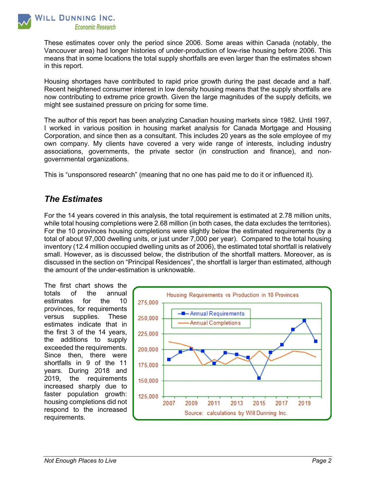

These estimates cover only the period since 2006. Some areas within Canada (notably, the Vancouver area) had longer histories of under-production of low-rise housing before 2006. This means that in some locations the total supply shortfalls are even larger than the estimates shown in this report.

Housing shortages have contributed to rapid price growth during the past decade and a half. Recent heightened consumer interest in low density housing means that the supply shortfalls are now contributing to extreme price growth. Given the large magnitudes of the supply deficits, we might see sustained pressure on pricing for some time.

The author of this report has been analyzing Canadian housing markets since 1982. Until 1997, I worked in various position in housing market analysis for Canada Mortgage and Housing Corporation, and since then as a consultant. This includes 20 years as the sole employee of my own company. My clients have covered a very wide range of interests, including industry associations, governments, the private sector (in construction and finance), and nongovernmental organizations.

This is "unsponsored research" (meaning that no one has paid me to do it or influenced it).

#### The Estimates

For the 14 years covered in this analysis, the total requirement is estimated at 2.78 million units, while total housing completions were 2.68 million (in both cases, the data excludes the territories). For the 10 provinces housing completions were slightly below the estimated requirements (by a total of about 97,000 dwelling units, or just under 7,000 per year). Compared to the total housing inventory (12.4 million occupied dwelling units as of 2006), the estimated total shortfall is relatively small. However, as is discussed below, the distribution of the shortfall matters. Moreover, as is discussed in the section on "Principal Residences", the shortfall is larger than estimated, although the amount of the under-estimation is unknowable.

The first chart shows the totals of the annual estimates for the 10 provinces, for requirements versus supplies. These estimates indicate that in the first 3 of the 14 years, the additions to supply exceeded the requirements. Since then, there were shortfalls in 9 of the 11 years. During 2018 and 2019, the requirements increased sharply due to faster population growth: housing completions did not respond to the increased requirements.

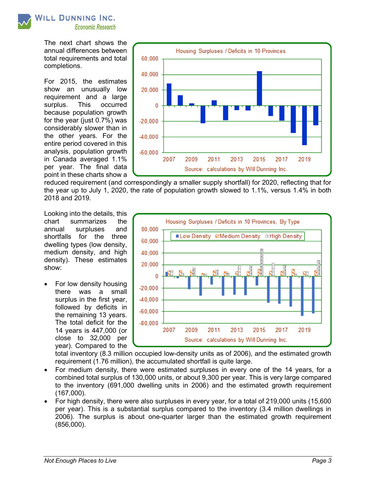

The next chart shows the annual differences between total requirements and total completions.

For 2015, the estimates show an unusually low requirement and a large surplus. This occurred because population growth for the year (just 0.7%) was considerably slower than in the other years. For the entire period covered in this analysis, population growth in Canada averaged 1.1% per year. The final data point in these charts show a



reduced requirement (and correspondingly a smaller supply shortfall) for 2020, reflecting that for the year up to July 1, 2020, the rate of population growth slowed to 1.1%, versus 1.4% in both 2018 and 2019.

Looking into the details, this chart summarizes the annual surpluses and shortfalls for the three dwelling types (low density, medium density, and high density). These estimates show:

 For low density housing there was a small surplus in the first year, followed by deficits in the remaining 13 years. The total deficit for the 14 years is 447,000 (or close to 32,000 per year). Compared to the



total inventory (8.3 million occupied low-density units as of 2006), and the estimated growth requirement (1.76 million), the accumulated shortfall is quite large.

- For medium density, there were estimated surpluses in every one of the 14 years, for a combined total surplus of 130,000 units, or about 9,300 per year. This is very large compared to the inventory (691,000 dwelling units in 2006) and the estimated growth requirement (167,000).
- For high density, there were also surpluses in every year, for a total of 219,000 units (15,600 per year). This is a substantial surplus compared to the inventory (3.4 million dwellings in 2006). The surplus is about one-quarter larger than the estimated growth requirement (856,000).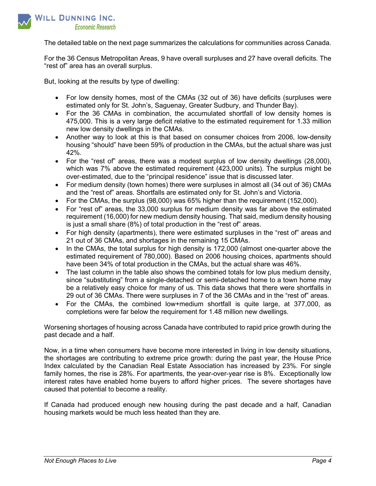

The detailed table on the next page summarizes the calculations for communities across Canada.

For the 36 Census Metropolitan Areas, 9 have overall surpluses and 27 have overall deficits. The "rest of" area has an overall surplus.

But, looking at the results by type of dwelling:

- For low density homes, most of the CMAs (32 out of 36) have deficits (surpluses were estimated only for St. John's, Saguenay, Greater Sudbury, and Thunder Bay).
- For the 36 CMAs in combination, the accumulated shortfall of low density homes is 475,000. This is a very large deficit relative to the estimated requirement for 1.33 million new low density dwellings in the CMAs.
- Another way to look at this is that based on consumer choices from 2006, low-density housing "should" have been 59% of production in the CMAs, but the actual share was just 42%.
- For the "rest of" areas, there was a modest surplus of low density dwellings (28,000), which was 7% above the estimated requirement (423,000 units). The surplus might be over-estimated, due to the "principal residence" issue that is discussed later.
- For medium density (town homes) there were surpluses in almost all (34 out of 36) CMAs and the "rest of" areas. Shortfalls are estimated only for St. John's and Victoria.
- For the CMAs, the surplus (98,000) was 65% higher than the requirement (152,000).
- For "rest of" areas, the 33,000 surplus for medium density was far above the estimated requirement (16,000) for new medium density housing. That said, medium density housing is just a small share (8%) of total production in the "rest of" areas.
- For high density (apartments), there were estimated surpluses in the "rest of" areas and 21 out of 36 CMAs, and shortages in the remaining 15 CMAs.
- In the CMAs, the total surplus for high density is 172,000 (almost one-quarter above the estimated requirement of 780,000). Based on 2006 housing choices, apartments should have been 34% of total production in the CMAs, but the actual share was 46%.
- The last column in the table also shows the combined totals for low plus medium density, since "substituting" from a single-detached or semi-detached home to a town home may be a relatively easy choice for many of us. This data shows that there were shortfalls in 29 out of 36 CMAs. There were surpluses in 7 of the 36 CMAs and in the "rest of" areas.
- For the CMAs, the combined low+medium shortfall is quite large, at 377,000, as completions were far below the requirement for 1.48 million new dwellings.

Worsening shortages of housing across Canada have contributed to rapid price growth during the past decade and a half.

Now, in a time when consumers have become more interested in living in low density situations, the shortages are contributing to extreme price growth: during the past year, the House Price Index calculated by the Canadian Real Estate Association has increased by 23%. For single family homes, the rise is 28%. For apartments, the year-over-year rise is 8%. Exceptionally low interest rates have enabled home buyers to afford higher prices. The severe shortages have caused that potential to become a reality.

If Canada had produced enough new housing during the past decade and a half, Canadian housing markets would be much less heated than they are.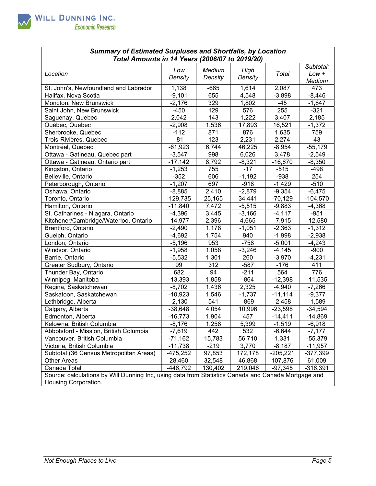

| <b>Summary of Estimated Surpluses and Shortfalls, by Location</b><br>Total Amounts in 14 Years (2006/07 to 2019/20) |                |                   |                 |            |                                |
|---------------------------------------------------------------------------------------------------------------------|----------------|-------------------|-----------------|------------|--------------------------------|
| Location                                                                                                            | Low<br>Density | Medium<br>Density | High<br>Density | Total      | Subtotal:<br>$Low +$<br>Medium |
| St. John's, Newfoundland and Labrador                                                                               | 1,138          | $-665$            | 1,614           | 2,087      | 473                            |
| Halifax, Nova Scotia                                                                                                | $-9,101$       | 655               | 4,548           | $-3,898$   | $-8,446$                       |
| Moncton, New Brunswick                                                                                              | $-2,176$       | 329               | 1,802           | $-45$      | $-1,847$                       |
| Saint John, New Brunswick                                                                                           | $-450$         | 129               | 576             | 255        | $-321$                         |
| Saguenay, Quebec                                                                                                    | 2,042          | 143               | 1,222           | 3,407      | 2,185                          |
| Québec, Quebec                                                                                                      | $-2,908$       | 1,536             | 17,893          | 16,521     | $-1,372$                       |
| Sherbrooke, Quebec                                                                                                  | $-112$         | 871               | 876             | 1,635      | 759                            |
| Trois-Rivières, Quebec                                                                                              | $-81$          | 123               | 2,231           | 2,274      | 43                             |
| Montréal, Quebec                                                                                                    | $-61,923$      | 6,744             | 46,225          | $-8,954$   | $-55,179$                      |
| Ottawa - Gatineau, Quebec part                                                                                      | $-3,547$       | 998               | 6,026           | 3,478      | $-2,549$                       |
| Ottawa - Gatineau, Ontario part                                                                                     | $-17,142$      | 8,792             | $-8,321$        | $-16,670$  | $-8,350$                       |
| Kingston, Ontario                                                                                                   | $-1,253$       | 755               | $-17$           | $-515$     | $-498$                         |
| Belleville, Ontario                                                                                                 | $-352$         | 606               | $-1,192$        | $-938$     | 254                            |
| Peterborough, Ontario                                                                                               | $-1,207$       | 697               | $-918$          | $-1,429$   | $-510$                         |
| Oshawa, Ontario                                                                                                     | $-8,885$       | 2,410             | $-2,879$        | $-9,354$   | $-6,475$                       |
| Toronto, Ontario                                                                                                    | $-129,735$     | 25,165            | 34,441          | $-70,129$  | $-104,570$                     |
| Hamilton, Ontario                                                                                                   | $-11,840$      | 7,472             | $-5,515$        | $-9,883$   | $-4,368$                       |
| St. Catharines - Niagara, Ontario                                                                                   | $-4,396$       | 3,445             | $-3,166$        | $-4,117$   | $-951$                         |
| Kitchener/Cambridge/Waterloo, Ontario                                                                               | $-14,977$      | 2,396             | 4,665           | $-7,915$   | $-12,580$                      |
| Brantford, Ontario                                                                                                  | $-2,490$       | 1,178             | $-1,051$        | $-2,363$   | $-1,312$                       |
| Guelph, Ontario                                                                                                     | $-4,692$       | 1,754             | 940             | $-1,998$   | $-2,938$                       |
| London, Ontario                                                                                                     | $-5,196$       | 953               | $-758$          | $-5,001$   | $-4,243$                       |
| Windsor, Ontario                                                                                                    | $-1,958$       | 1,058             | $-3,246$        | $-4,145$   | $-900$                         |
| Barrie, Ontario                                                                                                     | $-5,532$       | 1,301             | 260             | $-3,970$   | $-4,231$                       |
| Greater Sudbury, Ontario                                                                                            | 99             | 312               | $-587$          | $-176$     | 411                            |
| Thunder Bay, Ontario                                                                                                | 682            | 94                | $-211$          | 564        | 776                            |
| Winnipeg, Manitoba                                                                                                  | $-13,393$      | 1,858             | $-864$          | $-12,398$  | $-11,535$                      |
| Regina, Saskatchewan                                                                                                | $-8,702$       | 1,436             | 2,325           | $-4,940$   | $-7,266$                       |
| Saskatoon, Saskatchewan                                                                                             | $-10,923$      | 1,546             | $-1,737$        | $-11,114$  | $-9,377$                       |
| Lethbridge, Alberta                                                                                                 | $-2,130$       | 541               | $-869$          | $-2,458$   | $-1,589$                       |
| Calgary, Alberta                                                                                                    | $-38,648$      | 4,054             | 10,996          | $-23,598$  | $-34,594$                      |
| Edmonton, Alberta                                                                                                   | $-16,773$      | 1,904             | 457             | $-14,411$  | $-14,869$                      |
| Kelowna, British Columbia                                                                                           | $-8,176$       | 1,258             | 5,399           | $-1,519$   | $-6,918$                       |
| Abbotsford - Mission, British Columbia                                                                              | $-7,619$       | 442               | 532             | $-6,644$   | $-7,177$                       |
| Vancouver, British Columbia                                                                                         | $-71,162$      | 15,783            | 56,710          | 1,331      | $-55,379$                      |
| Victoria, British Columbia                                                                                          | $-11,738$      | $-219$            | 3,770           | $-8,187$   | $-11,957$                      |
| Subtotal (36 Census Metropolitan Areas)                                                                             | $-475,252$     | 97,853            | 172,178         | $-205,221$ | $-377,399$                     |
| <b>Other Areas</b>                                                                                                  | 28,460         | 32,548            | 46,868          | 107,876    | 61,009                         |
| Canada Total                                                                                                        | $-446,792$     | 130,402           | 219,046         | $-97,345$  | $-316,391$                     |
| Source: calculations by Will Dunning Inc, using data from Statistics Canada and Canada Mortgage and                 |                |                   |                 |            |                                |
| Housing Corporation.                                                                                                |                |                   |                 |            |                                |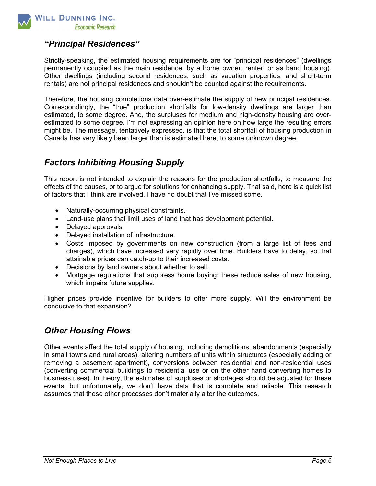

#### "Principal Residences"

Strictly-speaking, the estimated housing requirements are for "principal residences" (dwellings permanently occupied as the main residence, by a home owner, renter, or as band housing). Other dwellings (including second residences, such as vacation properties, and short-term rentals) are not principal residences and shouldn't be counted against the requirements.

Therefore, the housing completions data over-estimate the supply of new principal residences. Correspondingly, the "true" production shortfalls for low-density dwellings are larger than estimated, to some degree. And, the surpluses for medium and high-density housing are overestimated to some degree. I'm not expressing an opinion here on how large the resulting errors might be. The message, tentatively expressed, is that the total shortfall of housing production in Canada has very likely been larger than is estimated here, to some unknown degree.

### Factors Inhibiting Housing Supply

This report is not intended to explain the reasons for the production shortfalls, to measure the effects of the causes, or to argue for solutions for enhancing supply. That said, here is a quick list of factors that I think are involved. I have no doubt that I've missed some.

- Naturally-occurring physical constraints.
- Land-use plans that limit uses of land that has development potential.
- Delaved approvals.
- Delayed installation of infrastructure.
- Costs imposed by governments on new construction (from a large list of fees and charges), which have increased very rapidly over time. Builders have to delay, so that attainable prices can catch-up to their increased costs.
- Decisions by land owners about whether to sell.
- Mortgage regulations that suppress home buying: these reduce sales of new housing, which impairs future supplies.

Higher prices provide incentive for builders to offer more supply. Will the environment be conducive to that expansion?

#### Other Housing Flows

Other events affect the total supply of housing, including demolitions, abandonments (especially in small towns and rural areas), altering numbers of units within structures (especially adding or removing a basement apartment), conversions between residential and non-residential uses (converting commercial buildings to residential use or on the other hand converting homes to business uses). In theory, the estimates of surpluses or shortages should be adjusted for these events, but unfortunately, we don't have data that is complete and reliable. This research assumes that these other processes don't materially alter the outcomes.